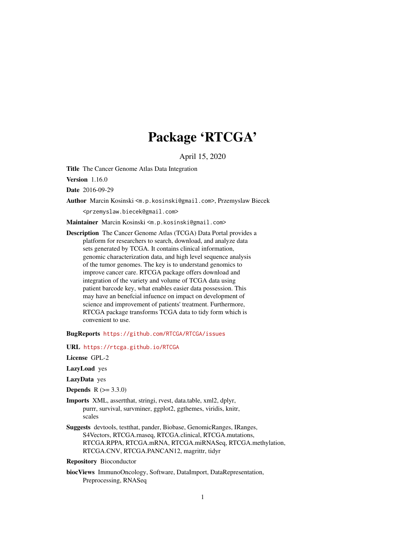# Package 'RTCGA'

April 15, 2020

<span id="page-0-0"></span>Title The Cancer Genome Atlas Data Integration

Version 1.16.0

Date 2016-09-29

Author Marcin Kosinski <m.p.kosinski@gmail.com>, Przemyslaw Biecek

<przemyslaw.biecek@gmail.com>

Maintainer Marcin Kosinski <m.p.kosinski@gmail.com>

Description The Cancer Genome Atlas (TCGA) Data Portal provides a platform for researchers to search, download, and analyze data sets generated by TCGA. It contains clinical information, genomic characterization data, and high level sequence analysis of the tumor genomes. The key is to understand genomics to improve cancer care. RTCGA package offers download and integration of the variety and volume of TCGA data using patient barcode key, what enables easier data possession. This may have an benefcial infuence on impact on development of science and improvement of patients' treatment. Furthermore, RTCGA package transforms TCGA data to tidy form which is convenient to use.

BugReports <https://github.com/RTCGA/RTCGA/issues>

URL <https://rtcga.github.io/RTCGA>

License GPL-2

LazyLoad yes

LazyData yes

- **Depends**  $R (= 3.3.0)$
- Imports XML, assertthat, stringi, rvest, data.table, xml2, dplyr, purrr, survival, survminer, ggplot2, ggthemes, viridis, knitr, scales
- Suggests devtools, testthat, pander, Biobase, GenomicRanges, IRanges, S4Vectors, RTCGA.rnaseq, RTCGA.clinical, RTCGA.mutations, RTCGA.RPPA, RTCGA.mRNA, RTCGA.miRNASeq, RTCGA.methylation, RTCGA.CNV, RTCGA.PANCAN12, magrittr, tidyr

Repository Bioconductor

biocViews ImmunoOncology, Software, DataImport, DataRepresentation, Preprocessing, RNASeq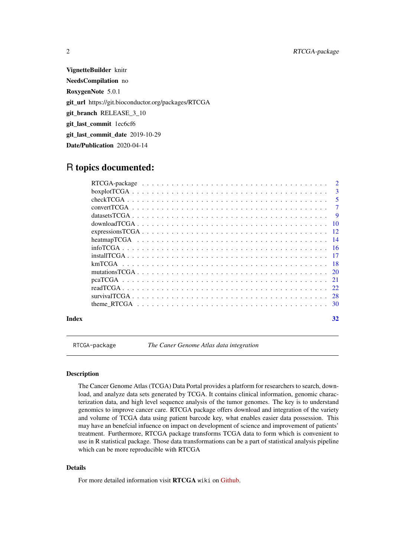VignetteBuilder knitr NeedsCompilation no RoxygenNote 5.0.1 git\_url https://git.bioconductor.org/packages/RTCGA git\_branch RELEASE\_3\_10 git\_last\_commit 1ec6cf6 git\_last\_commit\_date 2019-10-29 Date/Publication 2020-04-14

# R topics documented:

|       | $\overline{\mathbf{3}}$ |
|-------|-------------------------|
|       | - 5                     |
|       | $\overline{7}$          |
|       |                         |
|       |                         |
|       |                         |
|       |                         |
|       |                         |
|       |                         |
|       |                         |
|       |                         |
|       |                         |
|       |                         |
|       |                         |
|       |                         |
| Index | 32                      |

<span id="page-1-1"></span>RTCGA-package *The Caner Genome Atlas data integration*

# Description

The Cancer Genome Atlas (TCGA) Data Portal provides a platform for researchers to search, download, and analyze data sets generated by TCGA. It contains clinical information, genomic characterization data, and high level sequence analysis of the tumor genomes. The key is to understand genomics to improve cancer care. RTCGA package offers download and integration of the variety and volume of TCGA data using patient barcode key, what enables easier data possession. This may have an benefcial infuence on impact on development of science and improvement of patients' treatment. Furthermore, RTCGA package transforms TCGA data to form which is convenient to use in R statistical package. Those data transformations can be a part of statistical analysis pipeline which can be more reproducible with RTCGA

# Details

For more detailed information visit RTCGA wiki on [Github.](https://github.com/RTCGA/RTCGA/wiki)

<span id="page-1-0"></span>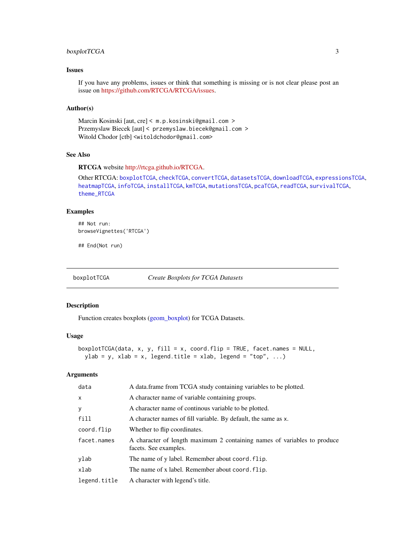#### <span id="page-2-0"></span>boxplotTCGA 3

# Issues

If you have any problems, issues or think that something is missing or is not clear please post an issue on [https://github.com/RTCGA/RTCGA/issues.](https://github.com/RTCGA/RTCGA/issues)

# Author(s)

Marcin Kosinski [aut, cre] < m.p.kosinski@gmail.com > Przemyslaw Biecek [aut] < przemyslaw.biecek@gmail.com > Witold Chodor [ctb] <witoldchodor@gmail.com>

# See Also

RTCGA website [http://rtcga.github.io/RTCGA.](http://rtcga.github.io/RTCGA)

Other RTCGA: [boxplotTCGA](#page-2-1), [checkTCGA](#page-4-1), [convertTCGA](#page-6-1), [datasetsTCGA](#page-8-1), [downloadTCGA](#page-9-1), [expressionsTCGA](#page-11-1), [heatmapTCGA](#page-13-1), [infoTCGA](#page-15-1), [installTCGA](#page-16-1), [kmTCGA](#page-17-1), [mutationsTCGA](#page-19-1), [pcaTCGA](#page-20-1), [readTCGA](#page-21-1), [survivalTCGA](#page-27-1), [theme\\_RTCGA](#page-29-1)

#### Examples

## Not run: browseVignettes('RTCGA')

## End(Not run)

<span id="page-2-1"></span>

boxplotTCGA *Create Boxplots for TCGA Datasets*

#### Description

Function creates boxplots [\(geom\\_boxplot\)](#page-0-0) for TCGA Datasets.

# Usage

```
boxplotTCGA(data, x, y, fill = x, coord.flip = TRUE, facet.names = NULL,
 ylab = y, xlab = x, legend.title = xlab, legend = "top", ...)
```

| data         | A data frame from TCGA study containing variables to be plotted.                                  |
|--------------|---------------------------------------------------------------------------------------------------|
| $\mathsf{x}$ | A character name of variable containing groups.                                                   |
| $\mathbf{y}$ | A character name of continous variable to be plotted.                                             |
| fill         | A character names of fill variable. By default, the same as x.                                    |
| coord.flip   | Whether to flip coordinates.                                                                      |
| facet.names  | A character of length maximum 2 containing names of variables to produce<br>facets. See examples. |
| ylab         | The name of y label. Remember about coord. flip.                                                  |
| xlab         | The name of x label. Remember about coord. flip.                                                  |
| legend.title | A character with legend's title.                                                                  |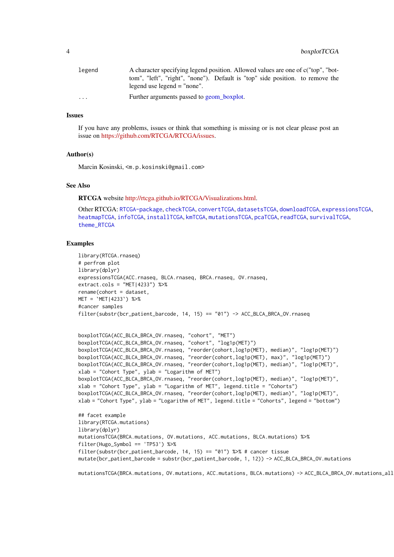<span id="page-3-0"></span>

| legend                  | A character specifying legend position. Allowed values are one of c("top", "bot-                               |
|-------------------------|----------------------------------------------------------------------------------------------------------------|
|                         | tom", "left", "right", "none"). Default is "top" side position. to remove the<br>legend use legend $=$ "none". |
| $\cdot$ $\cdot$ $\cdot$ | Further arguments passed to geom_boxplot.                                                                      |

#### Issues

If you have any problems, issues or think that something is missing or is not clear please post an issue on [https://github.com/RTCGA/RTCGA/issues.](https://github.com/RTCGA/RTCGA/issues)

#### Author(s)

Marcin Kosinski, <m.p.kosinski@gmail.com>

# See Also

RTCGA website [http://rtcga.github.io/RTCGA/Visualizations.html.](http://rtcga.github.io/RTCGA/Visualizations.html)

Other RTCGA: [RTCGA-package](#page-1-1), [checkTCGA](#page-4-1), [convertTCGA](#page-6-1), [datasetsTCGA](#page-8-1), [downloadTCGA](#page-9-1), [expressionsTCGA](#page-11-1), [heatmapTCGA](#page-13-1), [infoTCGA](#page-15-1), [installTCGA](#page-16-1), [kmTCGA](#page-17-1), [mutationsTCGA](#page-19-1), [pcaTCGA](#page-20-1), [readTCGA](#page-21-1), [survivalTCGA](#page-27-1), [theme\\_RTCGA](#page-29-1)

# Examples

```
library(RTCGA.rnaseq)
# perfrom plot
library(dplyr)
expressionsTCGA(ACC.rnaseq, BLCA.rnaseq, BRCA.rnaseq, OV.rnaseq,
extract.cols = "MET|4233") %>%
rename(cohort = dataset,
MET = 'MET | 4233') %>%
#cancer samples
filter(substr(bcr_patient_barcode, 14, 15) == "01") -> ACC_BLCA_BRCA_OV.rnaseq
```

```
boxplotTCGA(ACC_BLCA_BRCA_OV.rnaseq, "cohort", "MET")
boxplotTCGA(ACC_BLCA_BRCA_OV.rnaseq, "cohort", "log1p(MET)")
boxplotTCGA(ACC_BLCA_BRCA_OV.rnaseq, "reorder(cohort,log1p(MET), median)", "log1p(MET)")
boxplotTCGA(ACC_BLCA_BRCA_OV.rnaseq, "reorder(cohort,log1p(MET), max)", "log1p(MET)")
boxplotTCGA(ACC_BLCA_BRCA_OV.rnaseq, "reorder(cohort,log1p(MET), median)", "log1p(MET)",
xlab = "Cohort Type", ylab = "Logarithm of MET")
boxplotTCGA(ACC_BLCA_BRCA_OV.rnaseq, "reorder(cohort,log1p(MET), median)", "log1p(MET)",
xlab = "Cohort Type", ylab = "Logarithm of MET", legend.title = "Cohorts")
boxplotTCGA(ACC_BLCA_BRCA_OV.rnaseq, "reorder(cohort,log1p(MET), median)", "log1p(MET)",
xlab = "Cohort Type", ylab = "Logarithm of MET", legend.title = "Cohorts", legend = "bottom")
## facet example
library(RTCGA.mutations)
library(dplyr)
mutationsTCGA(BRCA.mutations, OV.mutations, ACC.mutations, BLCA.mutations) %>%
filter(Hugo_Symbol == 'TP53') %>%
filter(substr(bcr_patient_barcode, 14, 15) == "01") %>% # cancer tissue
mutate(bcr_patient_barcode = substr(bcr_patient_barcode, 1, 12)) -> ACC_BLCA_BRCA_OV.mutations
```
mutationsTCGA(BRCA.mutations, OV.mutations, ACC.mutations, BLCA.mutations) -> ACC\_BLCA\_BRCA\_OV.mutations\_all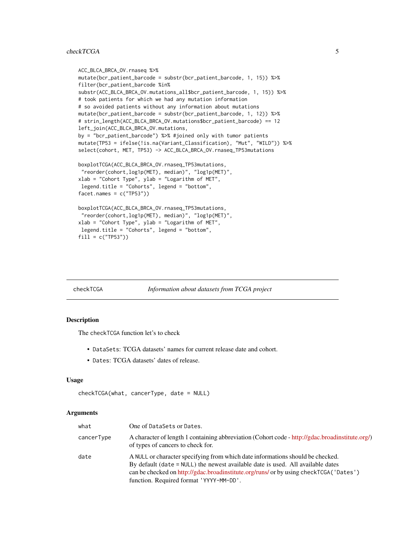#### <span id="page-4-0"></span>checkTCGA 5

```
ACC_BLCA_BRCA_OV.rnaseq %>%
mutate(bcr_patient_barcode = substr(bcr_patient_barcode, 1, 15)) %>%
filter(bcr_patient_barcode %in%
substr(ACC_BLCA_BRCA_OV.mutations_all$bcr_patient_barcode, 1, 15)) %>%
# took patients for which we had any mutation information
# so avoided patients without any information about mutations
mutate(bcr_patient_barcode = substr(bcr_patient_barcode, 1, 12)) %>%
# strin_length(ACC_BLCA_BRCA_OV.mutations$bcr_patient_barcode) == 12
left_join(ACC_BLCA_BRCA_OV.mutations,
by = "bcr patient barcode") %>% #joined only with tumor patients
mutate(TP53 = ifelse(!is.na(Variant_Classification), "Mut", "WILD")) %>%
select(cohort, MET, TP53) -> ACC_BLCA_BRCA_OV.rnaseq_TP53mutations
boxplotTCGA(ACC_BLCA_BRCA_OV.rnaseq_TP53mutations,
"reorder(cohort,log1p(MET), median)", "log1p(MET)",
xlab = "Cohort Type", ylab = "Logarithm of MET",
legend.title = "Cohorts", legend = "bottom",
facet.name = c("TP53"))boxplotTCGA(ACC_BLCA_BRCA_OV.rnaseq_TP53mutations,
 "reorder(cohort,log1p(MET), median)", "log1p(MET)",
xlab = "Cohort Type", ylab = "Logarithm of MET",
legend.title = "Cohorts", legend = "bottom",
fill = c("TP53"))
```
<span id="page-4-1"></span>

#### checkTCGA *Information about datasets from TCGA project*

#### Description

The checkTCGA function let's to check

- DataSets: TCGA datasets' names for current release date and cohort.
- Dates: TCGA datasets' dates of release.

#### Usage

```
checkTCGA(what, cancerType, date = NULL)
```

| what       | One of DataSets or Dates.                                                                                                                                                                                                                                                                              |
|------------|--------------------------------------------------------------------------------------------------------------------------------------------------------------------------------------------------------------------------------------------------------------------------------------------------------|
| cancerType | A character of length 1 containing abbreviation (Cohort code - http://gdac.broadinstitute.org/)<br>of types of cancers to check for.                                                                                                                                                                   |
| date       | A NULL or character specifying from which date informations should be checked.<br>By default (date = NULL) the newest available date is used. All available dates<br>can be checked on http://gdac.broadinstitute.org/runs/ or by using checkTCGA ('Dates')<br>function. Required format 'YYYY-MM-DD'. |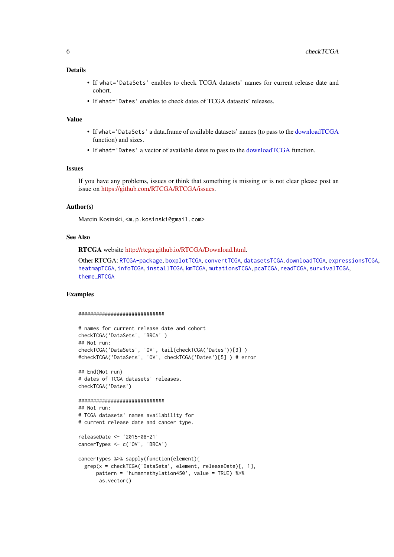#### <span id="page-5-0"></span>Details

- If what='DataSets' enables to check TCGA datasets' names for current release date and cohort.
- If what='Dates' enables to check dates of TCGA datasets' releases.

# Value

- If what='DataSets' a data.frame of available datasets' names (to pass to the [downloadTCGA](#page-9-1) function) and sizes.
- If what='Dates' a vector of available dates to pass to the [downloadTCGA](#page-9-1) function.

#### Issues

If you have any problems, issues or think that something is missing or is not clear please post an issue on [https://github.com/RTCGA/RTCGA/issues.](https://github.com/RTCGA/RTCGA/issues)

# Author(s)

Marcin Kosinski, <m.p.kosinski@gmail.com>

#### See Also

RTCGA website [http://rtcga.github.io/RTCGA/Download.html.](http://rtcga.github.io/RTCGA/Download.html)

Other RTCGA: [RTCGA-package](#page-1-1), [boxplotTCGA](#page-2-1), [convertTCGA](#page-6-1), [datasetsTCGA](#page-8-1), [downloadTCGA](#page-9-1), [expressionsTCGA](#page-11-1), [heatmapTCGA](#page-13-1), [infoTCGA](#page-15-1), [installTCGA](#page-16-1), [kmTCGA](#page-17-1), [mutationsTCGA](#page-19-1), [pcaTCGA](#page-20-1), [readTCGA](#page-21-1), [survivalTCGA](#page-27-1), [theme\\_RTCGA](#page-29-1)

#### Examples

#### #############################

```
# names for current release date and cohort
checkTCGA('DataSets', 'BRCA' )
## Not run:
checkTCGA('DataSets', 'OV', tail(checkTCGA('Dates'))[3] )
#checkTCGA('DataSets', 'OV', checkTCGA('Dates')[5] ) # error
```
## End(Not run) # dates of TCGA datasets' releases. checkTCGA('Dates')

```
#############################
## Not run:
# TCGA datasets' names availability for
# current release date and cancer type.
```
releaseDate <- '2015-08-21' cancerTypes <- c('OV', 'BRCA')

```
cancerTypes %>% sapply(function(element){
  grep(x = checkTCGA('DataSets', element, releaseDate)[, 1],
      pattern = 'humanmethylation450', value = TRUE) %>%
       as.vector()
```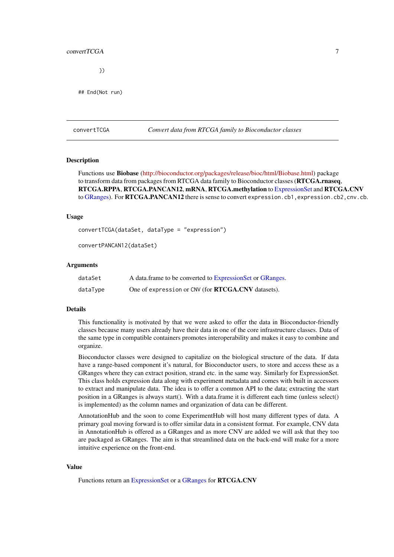#### <span id="page-6-0"></span>convert TCGA 7

})

## End(Not run)

<span id="page-6-1"></span>convertTCGA *Convert data from RTCGA family to Bioconductor classes*

#### **Description**

Functions use Biobase [\(http://bioconductor.org/packages/release/bioc/html/Biobase.html\)](http://bioconductor.org/packages/release/bioc/html/Biobase.html) package to transform data from packages from RTCGA data family to Bioconductor classes (**RTCGA.rnaseq**, RTCGA.RPPA, RTCGA.PANCAN12, mRNA, RTCGA.methylation to [ExpressionSet](#page-0-0) and RTCGA.CNV to [GRanges\)](#page-0-0). For RTCGA.PANCAN12 there is sense to convert expression.cb1, expression.cb2, cnv.cb.

#### Usage

convertTCGA(dataSet, dataType = "expression")

convertPANCAN12(dataSet)

#### Arguments

| dataSet  | A data frame to be converted to Expression Set or GRanges. |
|----------|------------------------------------------------------------|
| dataType | One of expression or CNV (for <b>RTCGA.CNV</b> datasets).  |

#### Details

This functionality is motivated by that we were asked to offer the data in Bioconductor-friendly classes because many users already have their data in one of the core infrastructure classes. Data of the same type in compatible containers promotes interoperability and makes it easy to combine and organize.

Bioconductor classes were designed to capitalize on the biological structure of the data. If data have a range-based component it's natural, for Bioconductor users, to store and access these as a GRanges where they can extract position, strand etc. in the same way. Similarly for ExpressionSet. This class holds expression data along with experiment metadata and comes with built in accessors to extract and manipulate data. The idea is to offer a common API to the data; extracting the start position in a GRanges is always start(). With a data.frame it is different each time (unless select() is implemented) as the column names and organization of data can be different.

AnnotationHub and the soon to come ExperimentHub will host many different types of data. A primary goal moving forward is to offer similar data in a consistent format. For example, CNV data in AnnotationHub is offered as a GRanges and as more CNV are added we will ask that they too are packaged as GRanges. The aim is that streamlined data on the back-end will make for a more intuitive experience on the front-end.

# Value

Functions return an [ExpressionSet](#page-0-0) or a [GRanges](#page-0-0) for RTCGA.CNV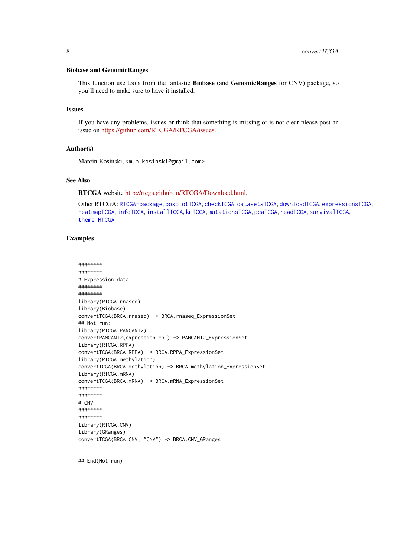#### <span id="page-7-0"></span>Biobase and GenomicRanges

This function use tools from the fantastic Biobase (and GenomicRanges for CNV) package, so you'll need to make sure to have it installed.

#### Issues

If you have any problems, issues or think that something is missing or is not clear please post an issue on [https://github.com/RTCGA/RTCGA/issues.](https://github.com/RTCGA/RTCGA/issues)

### Author(s)

Marcin Kosinski, <m.p.kosinski@gmail.com>

# See Also

RTCGA website [http://rtcga.github.io/RTCGA/Download.html.](http://rtcga.github.io/RTCGA/Download.html)

Other RTCGA: [RTCGA-package](#page-1-1), [boxplotTCGA](#page-2-1), [checkTCGA](#page-4-1), [datasetsTCGA](#page-8-1), [downloadTCGA](#page-9-1), [expressionsTCGA](#page-11-1), [heatmapTCGA](#page-13-1), [infoTCGA](#page-15-1), [installTCGA](#page-16-1), [kmTCGA](#page-17-1), [mutationsTCGA](#page-19-1), [pcaTCGA](#page-20-1), [readTCGA](#page-21-1), [survivalTCGA](#page-27-1), [theme\\_RTCGA](#page-29-1)

#### Examples

```
########
########
# Expression data
########
########
library(RTCGA.rnaseq)
library(Biobase)
convertTCGA(BRCA.rnaseq) -> BRCA.rnaseq_ExpressionSet
## Not run:
library(RTCGA.PANCAN12)
convertPANCAN12(expression.cb1) -> PANCAN12_ExpressionSet
library(RTCGA.RPPA)
convertTCGA(BRCA.RPPA) -> BRCA.RPPA_ExpressionSet
library(RTCGA.methylation)
convertTCGA(BRCA.methylation) -> BRCA.methylation_ExpressionSet
library(RTCGA.mRNA)
convertTCGA(BRCA.mRNA) -> BRCA.mRNA_ExpressionSet
########
########
# CNV
########
########
library(RTCGA.CNV)
library(GRanges)
convertTCGA(BRCA.CNV, "CNV") -> BRCA.CNV_GRanges
```
## End(Not run)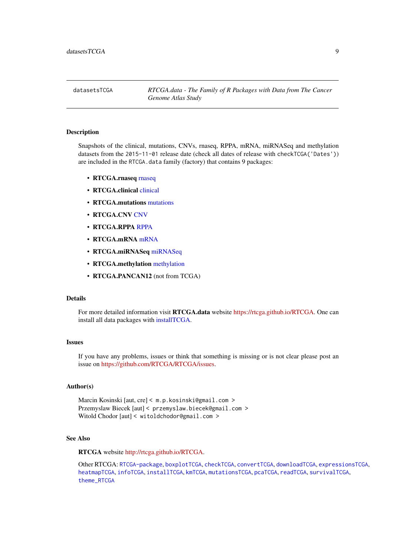<span id="page-8-1"></span><span id="page-8-0"></span>

#### Description

Snapshots of the clinical, mutations, CNVs, rnaseq, RPPA, mRNA, miRNASeq and methylation datasets from the 2015-11-01 release date (check all dates of release with checkTCGA('Dates')) are included in the RTCGA.data family (factory) that contains 9 packages:

- RTCGA.rnaseq [rnaseq](#page-0-0)
- RTCGA.[clinical](#page-0-0) clinical
- RTCGA.mutations [mutations](#page-0-0)
- RTCGA.CNV [CNV](#page-0-0)
- RTCGA.RPPA [RPPA](#page-0-0)
- RTCGA.mRNA [mRNA](#page-0-0)
- RTCGA.miRNASeq [miRNASeq](#page-0-0)
- RTCGA.methylation [methylation](#page-0-0)
- RTCGA.PANCAN12 (not from TCGA)

#### Details

For more detailed information visit RTCGA.data website [https://rtcga.github.io/RTCGA.](https://rtcga.github.io/RTCGA) One can install all data packages with [installTCGA.](#page-16-1)

#### Issues

If you have any problems, issues or think that something is missing or is not clear please post an issue on [https://github.com/RTCGA/RTCGA/issues.](https://github.com/RTCGA/RTCGA/issues)

### Author(s)

Marcin Kosinski [aut, cre] < m.p.kosinski@gmail.com > Przemyslaw Biecek [aut] < przemyslaw.biecek@gmail.com > Witold Chodor [aut] < witoldchodor@gmail.com >

# See Also

RTCGA website [http://rtcga.github.io/RTCGA.](http://rtcga.github.io/RTCGA)

Other RTCGA: [RTCGA-package](#page-1-1), [boxplotTCGA](#page-2-1), [checkTCGA](#page-4-1), [convertTCGA](#page-6-1), [downloadTCGA](#page-9-1), [expressionsTCGA](#page-11-1), [heatmapTCGA](#page-13-1), [infoTCGA](#page-15-1), [installTCGA](#page-16-1), [kmTCGA](#page-17-1), [mutationsTCGA](#page-19-1), [pcaTCGA](#page-20-1), [readTCGA](#page-21-1), [survivalTCGA](#page-27-1), [theme\\_RTCGA](#page-29-1)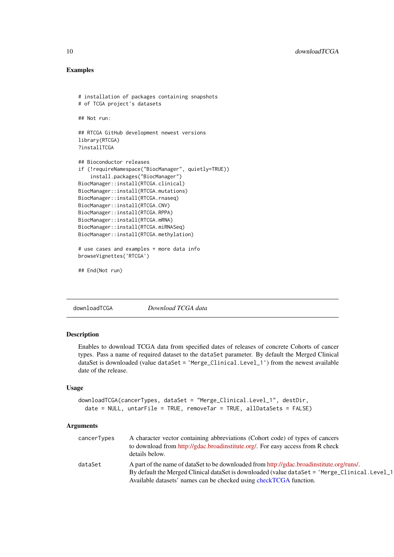# Examples

```
# installation of packages containing snapshots
# of TCGA project's datasets
## Not run:
## RTCGA GitHub development newest versions
library(RTCGA)
?installTCGA
## Bioconductor releases
if (!requireNamespace("BiocManager", quietly=TRUE))
    install.packages("BiocManager")
BiocManager::install(RTCGA.clinical)
BiocManager::install(RTCGA.mutations)
BiocManager::install(RTCGA.rnaseq)
BiocManager::install(RTCGA.CNV)
BiocManager::install(RTCGA.RPPA)
BiocManager::install(RTCGA.mRNA)
BiocManager::install(RTCGA.miRNASeq)
BiocManager::install(RTCGA.methylation)
# use cases and examples + more data info
browseVignettes('RTCGA')
## End(Not run)
```
<span id="page-9-1"></span>downloadTCGA *Download TCGA data*

#### Description

Enables to download TCGA data from specified dates of releases of concrete Cohorts of cancer types. Pass a name of required dataset to the dataSet parameter. By default the Merged Clinical dataSet is downloaded (value dataSet = 'Merge\_Clinical.Level\_1') from the newest available date of the release.

# Usage

```
downloadTCGA(cancerTypes, dataSet = "Merge_Clinical.Level_1", destDir,
  date = NULL, untarFile = TRUE, removeTar = TRUE, allDataSets = FALSE)
```

| cancerTypes | A character vector containing abbreviations (Cohort code) of types of cancers<br>to download from http://gdac.broadinstitute.org/. For easy access from R check<br>details below.                                                                                |
|-------------|------------------------------------------------------------------------------------------------------------------------------------------------------------------------------------------------------------------------------------------------------------------|
| dataSet     | A part of the name of dataSet to be downloaded from http://gdac.broadinstitute.org/runs/.<br>By default the Merged Clinical dataSet is downloaded (value dataSet = 'Merge_Clinical.Level_1<br>Available datasets' names can be checked using checkTCGA function. |

<span id="page-9-0"></span>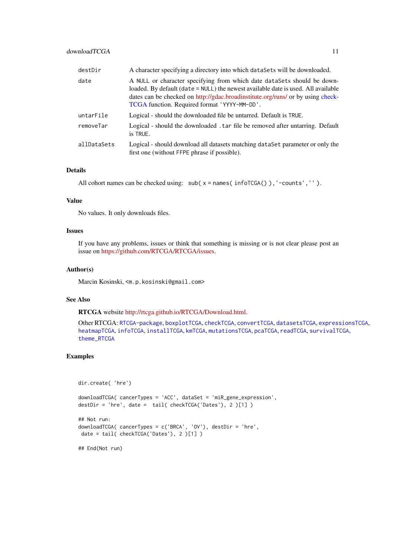<span id="page-10-0"></span>

| A character specifying a directory into which data Sets will be downloaded.                                                                                                                                                                                                                     |
|-------------------------------------------------------------------------------------------------------------------------------------------------------------------------------------------------------------------------------------------------------------------------------------------------|
| A NULL or character specifying from which date dataSets should be down-<br>loaded. By default (date = NULL) the newest available date is used. All available<br>dates can be checked on http://gdac.broadinstitute.org/runs/ or by using check-<br>TCGA function. Required format 'YYYY-MM-DD'. |
| Logical - should the downloaded file be untarred. Default is TRUE.                                                                                                                                                                                                                              |
| Logical - should the downloaded . tar file be removed after untarring. Default<br>is TRUE.                                                                                                                                                                                                      |
| Logical - should download all datasets matching dataSet parameter or only the<br>first one (without FFPE phrase if possible).                                                                                                                                                                   |
|                                                                                                                                                                                                                                                                                                 |

# Details

```
All cohort names can be checked using: sub(x =names(infoTCGA()), '-counts','').
```
# Value

No values. It only downloads files.

# Issues

If you have any problems, issues or think that something is missing or is not clear please post an issue on [https://github.com/RTCGA/RTCGA/issues.](https://github.com/RTCGA/RTCGA/issues)

#### Author(s)

Marcin Kosinski, <m.p.kosinski@gmail.com>

# See Also

RTCGA website [http://rtcga.github.io/RTCGA/Download.html.](http://rtcga.github.io/RTCGA/Download.html)

Other RTCGA: [RTCGA-package](#page-1-1), [boxplotTCGA](#page-2-1), [checkTCGA](#page-4-1), [convertTCGA](#page-6-1), [datasetsTCGA](#page-8-1), [expressionsTCGA](#page-11-1), [heatmapTCGA](#page-13-1), [infoTCGA](#page-15-1), [installTCGA](#page-16-1), [kmTCGA](#page-17-1), [mutationsTCGA](#page-19-1), [pcaTCGA](#page-20-1), [readTCGA](#page-21-1), [survivalTCGA](#page-27-1), [theme\\_RTCGA](#page-29-1)

#### Examples

```
dir.create( 'hre')
```

```
downloadTCGA( cancerTypes = 'ACC', dataSet = 'miR_gene_expression',
destDir = 'hre', date = tail( checkTCGA('Dates'), 2 )[1] )
```

```
## Not run:
downloadTCGA( cancerTypes = c('BRCA', 'OV'), destDir = 'hre',
date = tail( checkTCGA('Dates'), 2 )[1] )
```
## End(Not run)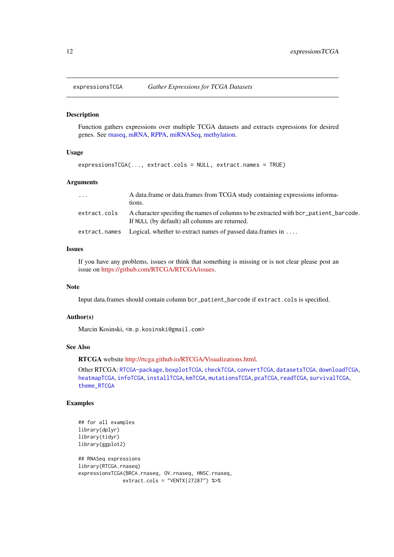<span id="page-11-1"></span><span id="page-11-0"></span>

#### Description

Function gathers expressions over multiple TCGA datasets and extracts expressions for desired genes. See [rnaseq,](#page-0-0) [mRNA,](#page-0-0) [RPPA,](#page-0-0) [miRNASeq,](#page-0-0) [methylation.](#page-0-0)

# Usage

```
expressionsTCGA(..., extract.cols = NULL, extract.names = TRUE)
```
#### Arguments

| .            | A data frame or data frames from TCGA study containing expressions informa-<br>tions.                                                  |
|--------------|----------------------------------------------------------------------------------------------------------------------------------------|
| extract.cols | A character specifing the names of columns to be extracted with bcr_patient_barcode.<br>If NULL (by default) all columns are returned. |
|              | $extraction = 1$ Logical, whether to extract names of passed data. frames in                                                           |

# Issues

If you have any problems, issues or think that something is missing or is not clear please post an issue on [https://github.com/RTCGA/RTCGA/issues.](https://github.com/RTCGA/RTCGA/issues)

# Note

Input data.frames should contain column bcr\_patient\_barcode if extract.cols is specified.

# Author(s)

Marcin Kosinski, <m.p.kosinski@gmail.com>

# See Also

RTCGA website [http://rtcga.github.io/RTCGA/Visualizations.html.](http://rtcga.github.io/RTCGA/Visualizations.html)

Other RTCGA: [RTCGA-package](#page-1-1), [boxplotTCGA](#page-2-1), [checkTCGA](#page-4-1), [convertTCGA](#page-6-1), [datasetsTCGA](#page-8-1), [downloadTCGA](#page-9-1), [heatmapTCGA](#page-13-1), [infoTCGA](#page-15-1), [installTCGA](#page-16-1), [kmTCGA](#page-17-1), [mutationsTCGA](#page-19-1), [pcaTCGA](#page-20-1), [readTCGA](#page-21-1), [survivalTCGA](#page-27-1), [theme\\_RTCGA](#page-29-1)

# Examples

```
## for all examples
library(dplyr)
library(tidyr)
library(ggplot2)
## RNASeq expressions
library(RTCGA.rnaseq)
expressionsTCGA(BRCA.rnaseq, OV.rnaseq, HNSC.rnaseq,
               extract.cols = "VENTX|27287") %>%
```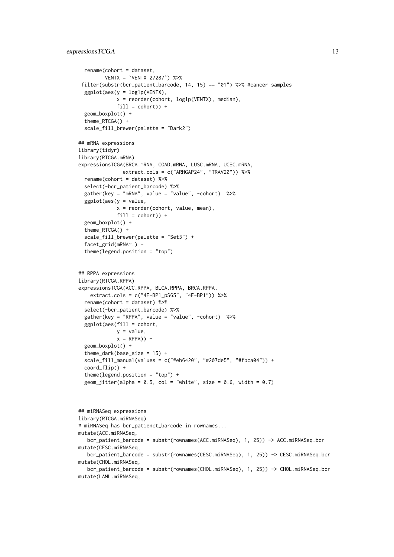```
rename(cohort = dataset,
         VENTX = `VENTX|27287`) %>%
 filter(substr(bcr_patient_barcode, 14, 15) == "01") %>% #cancer samples
  ggplot(aes(y = log1p(VENTX)),x = reorder(cohort, log1p(VENTX), median),
             fill = cohort() +
  geom_boxplot() +
  theme_RTCGA() +
  scale_fill_brewer(palette = "Dark2")
## mRNA expressions
library(tidyr)
library(RTCGA.mRNA)
expressionsTCGA(BRCA.mRNA, COAD.mRNA, LUSC.mRNA, UCEC.mRNA,
               extract.cols = c("ARHGAP24", "TRAV20")) %>%
  rename(cohort = dataset) %>%
  select(-bcr_patient_barcode) %>%
  gather(key = "mRNA", value = "value", -cohort) %>%
  ggplot(aes(y = value,x = reorder(cohort, value, mean),
             fill = cohort() +
  geom_boxplot() +
  theme_RTCGA() +
  scale_fill_brewer(palette = "Set3") +
  facet_grid(mRNA~.) +
  theme(legend.position = "top")
## RPPA expressions
library(RTCGA.RPPA)
expressionsTCGA(ACC.RPPA, BLCA.RPPA, BRCA.RPPA,
    extract.cols = c("4E-BP1_pS65", "4E-BP1")) %>%
  rename(cohort = dataset) %>%
  select(-bcr_patient_barcode) %>%
  gather(key = "RPPA", value = "value", -cohort) %>%
  ggplot(aes(fill = cohort,
             y = value,
             x = RPPA) +
  geom_boxplot() +
  theme_dark(base_size = 15) +
  scale_fill_manual(values = c("#eb6420", "#207de5", "#fbca04")) +
  coord_flip() +
  theme(legend.position = "top") +
  geom_jitter(alpha = 0.5, col = "white", size = 0.6, width = 0.7)
## miRNASeq expressions
library(RTCGA.miRNASeq)
# miRNASeq has bcr_patienct_barcode in rownames...
mutate(ACC.miRNASeq,
   bcr_patient_barcode = substr(rownames(ACC.miRNASeq), 1, 25)) -> ACC.miRNASeq.bcr
mutate(CESC.miRNASeq,
   bcr_patient_barcode = substr(rownames(CESC.miRNASeq), 1, 25)) -> CESC.miRNASeq.bcr
mutate(CHOL.miRNASeq,
   bcr_patient_barcode = substr(rownames(CHOL.miRNASeq), 1, 25)) -> CHOL.miRNASeq.bcr
mutate(LAML.miRNASeq,
```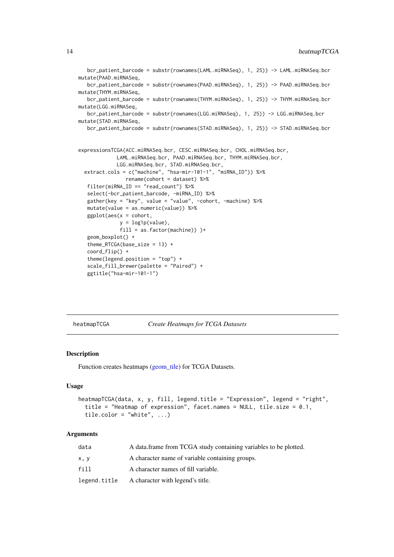```
bcr_patient_barcode = substr(rownames(LAML.miRNASeq), 1, 25)) -> LAML.miRNASeq.bcr
mutate(PAAD.miRNASeq,
   bcr_patient_barcode = substr(rownames(PAAD.miRNASeq), 1, 25)) -> PAAD.miRNASeq.bcr
mutate(THYM.miRNASeq,
   bcr_patient_barcode = substr(rownames(THYM.miRNASeq), 1, 25)) -> THYM.miRNASeq.bcr
mutate(LGG.miRNASeq,
   bcr_patient_barcode = substr(rownames(LGG.miRNASeq), 1, 25)) -> LGG.miRNASeq.bcr
mutate(STAD.miRNASeq,
   bcr_patient_barcode = substr(rownames(STAD.miRNASeq), 1, 25)) -> STAD.miRNASeq.bcr
expressionsTCGA(ACC.miRNASeq.bcr, CESC.miRNASeq.bcr, CHOL.miRNASeq.bcr,
             LAML.miRNASeq.bcr, PAAD.miRNASeq.bcr, THYM.miRNASeq.bcr,
             LGG.miRNASeq.bcr, STAD.miRNASeq.bcr,
  extract.cols = c("machine", "hsa-mir-101-1", "miRNA_ID")) %>%
                rename(cohort = dataset) %>%
   filter(miRNA_ID == "read_count") %>%
   select(-bcr_patient_barcode, -miRNA_ID) %>%
   gather(key = "key", value = "value", -cohort, -machine) %>%
   mutate(value = as.numeric(value)) %>%
   ggplot(aes(x = cohort,y = log1p(value),
              fill = as.factor(machine)) )+
   geom_boxplot() +
   theme_RTCGA(base_size = 13) +
   coord_flip() +
   theme(legend.position = "top") +
   scale_fill_brewer(palette = "Paired") +
   ggtitle("hsa-mir-101-1")
```
<span id="page-13-1"></span>heatmapTCGA *Create Heatmaps for TCGA Datasets*

#### Description

Function creates heatmaps [\(geom\\_tile\)](#page-0-0) for TCGA Datasets.

# Usage

```
heatmapTCGA(data, x, y, fill, legend.title = "Expression", legend = "right",
  title = "Heatmap of expression", facet.names = NULL, tile.size = 0.1,
  tile.color = "white", \ldots)
```

| data         | A data frame from TCGA study containing variables to be plotted. |
|--------------|------------------------------------------------------------------|
| x, y         | A character name of variable containing groups.                  |
| fill         | A character names of fill variable.                              |
| legend.title | A character with legend's title.                                 |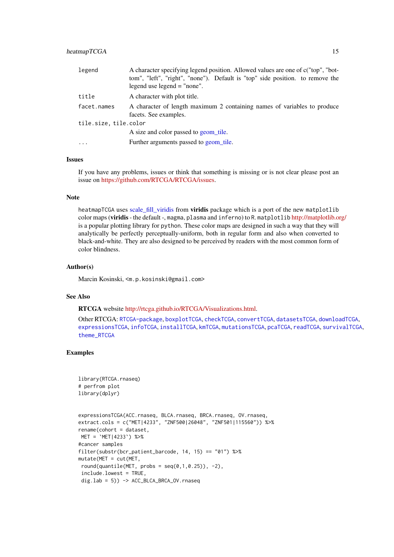<span id="page-14-0"></span>

| legend                | A character specifying legend position. Allowed values are one of c("top", "bot-<br>tom", "left", "right", "none"). Default is "top" side position. to remove the<br>legend use legend $=$ "none". |  |
|-----------------------|----------------------------------------------------------------------------------------------------------------------------------------------------------------------------------------------------|--|
| title                 | A character with plot title.                                                                                                                                                                       |  |
| facet.names           | A character of length maximum 2 containing names of variables to produce<br>facets. See examples.                                                                                                  |  |
| tile.size, tile.color |                                                                                                                                                                                                    |  |
|                       | A size and color passed to geom_tile.                                                                                                                                                              |  |
| $\cdot$               | Further arguments passed to geom tile.                                                                                                                                                             |  |

#### Issues

If you have any problems, issues or think that something is missing or is not clear please post an issue on [https://github.com/RTCGA/RTCGA/issues.](https://github.com/RTCGA/RTCGA/issues)

# Note

heatmapTCGA uses [scale\\_fill\\_viridis](#page-0-0) from **viridis** package which is a port of the new matplotlib color maps (viridis- the default -, magma, plasma and inferno) to R. matplotlib <http://matplotlib.org/> is a popular plotting library for python. These color maps are designed in such a way that they will analytically be perfectly perceptually-uniform, both in regular form and also when converted to black-and-white. They are also designed to be perceived by readers with the most common form of color blindness.

#### Author(s)

Marcin Kosinski, <m.p.kosinski@gmail.com>

#### See Also

RTCGA website [http://rtcga.github.io/RTCGA/Visualizations.html.](http://rtcga.github.io/RTCGA/Visualizations.html)

Other RTCGA: [RTCGA-package](#page-1-1), [boxplotTCGA](#page-2-1), [checkTCGA](#page-4-1), [convertTCGA](#page-6-1), [datasetsTCGA](#page-8-1), [downloadTCGA](#page-9-1), [expressionsTCGA](#page-11-1), [infoTCGA](#page-15-1), [installTCGA](#page-16-1), [kmTCGA](#page-17-1), [mutationsTCGA](#page-19-1), [pcaTCGA](#page-20-1), [readTCGA](#page-21-1), [survivalTCGA](#page-27-1), [theme\\_RTCGA](#page-29-1)

#### Examples

```
library(RTCGA.rnaseq)
# perfrom plot
library(dplyr)
```

```
expressionsTCGA(ACC.rnaseq, BLCA.rnaseq, BRCA.rnaseq, OV.rnaseq,
extract.cols = c("MET|4233", "ZNF500|26048", "ZNF501|115560")) %>%
rename(cohort = dataset,
MET = `MET|4233`) %>%
#cancer samples
filter(substr(bcr_patient_barcode, 14, 15) == "01") %>%
mutate(MET = cut(MET,
round(quantile(MET, probs = seq(0,1,0.25)), -2),
 include.lowest = TRUE,
 dig.lab = 5)) -> ACC_BLCA_BRCA_OV.rnaseq
```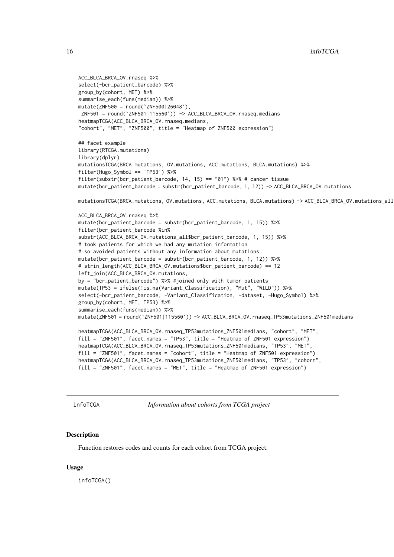```
ACC_BLCA_BRCA_OV.rnaseq %>%
select(-bcr_patient_barcode) %>%
group_by(cohort, MET) %>%
summarise_each(funs(median)) %>%
mutate(ZNF500 = round(`ZNF500|26048`),
ZNF501 = round(`ZNF501|115560`)) -> ACC_BLCA_BRCA_OV.rnaseq.medians
heatmapTCGA(ACC_BLCA_BRCA_OV.rnaseq.medians,
"cohort", "MET", "ZNF500", title = "Heatmap of ZNF500 expression")
## facet example
library(RTCGA.mutations)
library(dplyr)
mutationsTCGA(BRCA.mutations, OV.mutations, ACC.mutations, BLCA.mutations) %>%
filter(Hugo_Symbol == 'TP53') %>%
filter(substr(bcr_patient_barcode, 14, 15) == "01") %>% # cancer tissue
mutate(bcr_patient_barcode = substr(bcr_patient_barcode, 1, 12)) -> ACC_BLCA_BRCA_OV.mutations
mutationsTCGA(BRCA.mutations, OV.mutations, ACC.mutations, BLCA.mutations) -> ACC_BLCA_BRCA_OV.mutations_all
ACC_BLCA_BRCA_OV.rnaseq %>%
mutate(bcr_patient_barcode = substr(bcr_patient_barcode, 1, 15)) %>%
filter(bcr_patient_barcode %in%
substr(ACC_BLCA_BRCA_OV.mutations_all$bcr_patient_barcode, 1, 15)) %>%
# took patients for which we had any mutation information
# so avoided patients without any information about mutations
mutate(bcr_patient_barcode = substr(bcr_patient_barcode, 1, 12)) %>%
# strin_length(ACC_BLCA_BRCA_OV.mutations$bcr_patient_barcode) == 12
left_join(ACC_BLCA_BRCA_OV.mutations,
by = "bcr_patient_barcode") %>% #joined only with tumor patients
mutate(TP53 = ifelse(!is.na(Variant_Classification), "Mut", "WILD")) %>%
select(-bcr_patient_barcode, -Variant_Classification, -dataset, -Hugo_Symbol) %>%
group_by(cohort, MET, TP53) %>%
summarise_each(funs(median)) %>%
mutate(ZNF501 = round(`ZNF501|115560`)) -> ACC_BLCA_BRCA_OV.rnaseq_TP53mutations_ZNF501medians
heatmapTCGA(ACC_BLCA_BRCA_OV.rnaseq_TP53mutations_ZNF501medians, "cohort", "MET",
fill = "ZNF501", facet.names = "TP53", title = "Heatmap of ZNF501 expression")
heatmapTCGA(ACC_BLCA_BRCA_OV.rnaseq_TP53mutations_ZNF501medians, "TP53", "MET",
fill = "ZNF501", facet.names = "cohort", title = "Heatmap of ZNF501 expression")
heatmapTCGA(ACC_BLCA_BRCA_OV.rnaseq_TP53mutations_ZNF501medians, "TP53", "cohort",
fill = "ZNF501", facet.names = "MET", title = "Heatmap of ZNF501 expression")
```
<span id="page-15-1"></span>infoTCGA *Information about cohorts from TCGA project*

# Description

Function restores codes and counts for each cohort from TCGA project.

# Usage

infoTCGA()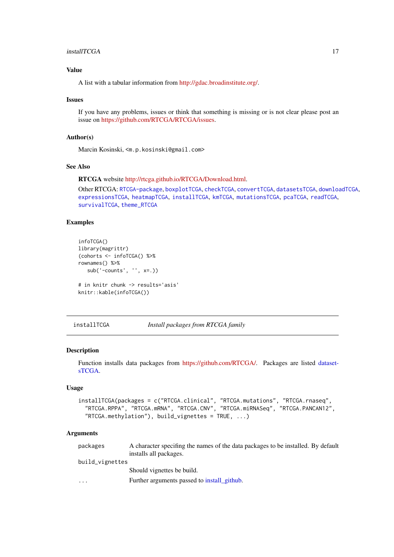#### <span id="page-16-0"></span>installTCGA 17

# Value

A list with a tabular information from [http://gdac.broadinstitute.org/.](http://gdac.broadinstitute.org/)

#### Issues

If you have any problems, issues or think that something is missing or is not clear please post an issue on [https://github.com/RTCGA/RTCGA/issues.](https://github.com/RTCGA/RTCGA/issues)

# Author(s)

Marcin Kosinski, <m.p.kosinski@gmail.com>

#### See Also

RTCGA website [http://rtcga.github.io/RTCGA/Download.html.](http://rtcga.github.io/RTCGA/Download.html)

Other RTCGA: [RTCGA-package](#page-1-1), [boxplotTCGA](#page-2-1), [checkTCGA](#page-4-1), [convertTCGA](#page-6-1), [datasetsTCGA](#page-8-1), [downloadTCGA](#page-9-1), [expressionsTCGA](#page-11-1), [heatmapTCGA](#page-13-1), [installTCGA](#page-16-1), [kmTCGA](#page-17-1), [mutationsTCGA](#page-19-1), [pcaTCGA](#page-20-1), [readTCGA](#page-21-1), [survivalTCGA](#page-27-1), [theme\\_RTCGA](#page-29-1)

#### Examples

```
infoTCGA()
library(magrittr)
(cohorts <- infoTCGA() %>%
rownames() %>%
   sub('-counts', '', x=.))
# in knitr chunk -> results='asis'
```
knitr::kable(infoTCGA())

<span id="page-16-1"></span>installTCGA *Install packages from RTCGA family*

#### Description

Function installs data packages from [https://github.com/RTCGA/.](https://github.com/RTCGA/) Packages are listed [dataset](#page-8-1)[sTCGA.](#page-8-1)

# Usage

```
installTCGA(packages = c("RTCGA.clinical", "RTCGA.mutations", "RTCGA.rnaseq",
  "RTCGA.RPPA", "RTCGA.mRNA", "RTCGA.CNV", "RTCGA.miRNASeq", "RTCGA.PANCAN12",
 "RTCGA.methylation"), build_vignettes = TRUE, ...)
```

| packages        | A character specifing the names of the data packages to be installed. By default |
|-----------------|----------------------------------------------------------------------------------|
|                 | installs all packages.                                                           |
| build_vignettes |                                                                                  |
|                 | Should vignettes be build.                                                       |
| $\cdot$         | Further arguments passed to install github.                                      |
|                 |                                                                                  |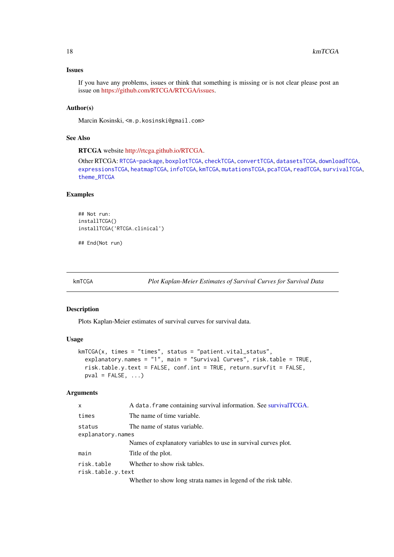#### Issues

If you have any problems, issues or think that something is missing or is not clear please post an issue on [https://github.com/RTCGA/RTCGA/issues.](https://github.com/RTCGA/RTCGA/issues)

# Author(s)

Marcin Kosinski, <m.p.kosinski@gmail.com>

# See Also

RTCGA website [http://rtcga.github.io/RTCGA.](http://rtcga.github.io/RTCGA)

Other RTCGA: [RTCGA-package](#page-1-1), [boxplotTCGA](#page-2-1), [checkTCGA](#page-4-1), [convertTCGA](#page-6-1), [datasetsTCGA](#page-8-1), [downloadTCGA](#page-9-1), [expressionsTCGA](#page-11-1), [heatmapTCGA](#page-13-1), [infoTCGA](#page-15-1), [kmTCGA](#page-17-1), [mutationsTCGA](#page-19-1), [pcaTCGA](#page-20-1), [readTCGA](#page-21-1), [survivalTCGA](#page-27-1), [theme\\_RTCGA](#page-29-1)

#### Examples

```
## Not run:
installTCGA()
installTCGA('RTCGA.clinical')
```
## End(Not run)

<span id="page-17-1"></span>kmTCGA *Plot Kaplan-Meier Estimates of Survival Curves for Survival Data*

#### Description

Plots Kaplan-Meier estimates of survival curves for survival data.

#### Usage

```
kmTCGA(x, times = "times", status = "patient.vital_status",
 explanatory.names = "1", main = "Survival Curves", risk.table = TRUE,
  risk.table.y.text = FALSE, conf.int = TRUE, return.survfit = FALSE,
 pval = FALSE, ...)
```

| $\mathsf{x}$      | A data. frame containing survival information. See survivalTCGA. |
|-------------------|------------------------------------------------------------------|
| times             | The name of time variable.                                       |
| status            | The name of status variable.                                     |
| explanatory.names |                                                                  |
|                   | Names of explanatory variables to use in survival curves plot.   |
| main              | Title of the plot.                                               |
| risk.table        | Whether to show risk tables.                                     |
| risk.table.y.text |                                                                  |
|                   | Whether to show long strata names in legend of the risk table.   |

<span id="page-17-0"></span>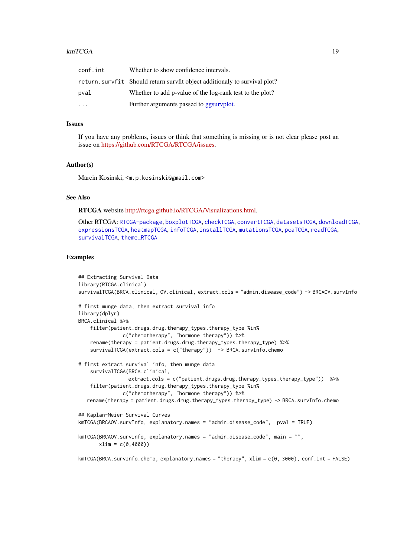#### <span id="page-18-0"></span> $kmTCGA$  19

| conf.int                | Whether to show confidence intervals.                                      |
|-------------------------|----------------------------------------------------------------------------|
|                         | return. survfit Should return survfit object additionaly to survival plot? |
| pval                    | Whether to add p-value of the log-rank test to the plot?                   |
| $\cdot$ $\cdot$ $\cdot$ | Further arguments passed to ggsurvplot.                                    |

#### Issues

If you have any problems, issues or think that something is missing or is not clear please post an issue on [https://github.com/RTCGA/RTCGA/issues.](https://github.com/RTCGA/RTCGA/issues)

#### Author(s)

Marcin Kosinski, <m.p.kosinski@gmail.com>

# See Also

RTCGA website [http://rtcga.github.io/RTCGA/Visualizations.html.](http://rtcga.github.io/RTCGA/Visualizations.html)

Other RTCGA: [RTCGA-package](#page-1-1), [boxplotTCGA](#page-2-1), [checkTCGA](#page-4-1), [convertTCGA](#page-6-1), [datasetsTCGA](#page-8-1), [downloadTCGA](#page-9-1), [expressionsTCGA](#page-11-1), [heatmapTCGA](#page-13-1), [infoTCGA](#page-15-1), [installTCGA](#page-16-1), [mutationsTCGA](#page-19-1), [pcaTCGA](#page-20-1), [readTCGA](#page-21-1), [survivalTCGA](#page-27-1), [theme\\_RTCGA](#page-29-1)

# Examples

```
## Extracting Survival Data
library(RTCGA.clinical)
survivalTCGA(BRCA.clinical, OV.clinical, extract.cols = "admin.disease_code") -> BRCAOV.survInfo
# first munge data, then extract survival info
library(dplyr)
BRCA.clinical %>%
    filter(patient.drugs.drug.therapy_types.therapy_type %in%
              c("chemotherapy", "hormone therapy")) %>%
    rename(therapy = patient.drugs.drug.therapy_types.therapy_type) %>%
    survivalTCGA(extract.cols = c("therapy")) -> BRCA.survInfo.chemo
# first extract survival info, then munge data
    survivalTCGA(BRCA.clinical,
                extract.cols = c("patient.drugs.drug.therapy_types.therapy_type")) %>%
    filter(patient.drugs.drug.therapy_types.therapy_type %in%
              c("chemotherapy", "hormone therapy")) %>%
   rename(therapy = patient.drugs.drug.therapy_types.therapy_type) -> BRCA.survInfo.chemo
## Kaplan-Meier Survival Curves
kmTCGA(BRCAOV.survInfo, explanatory.names = "admin.disease_code", pval = TRUE)
kmTCGA(BRCAOV.survInfo, explanatory.names = "admin.disease_code", main = "",
       xlim = c(0,4000))
```
kmTCGA(BRCA.survInfo.chemo, explanatory.names = "therapy", xlim = c(0, 3000), conf.int = FALSE)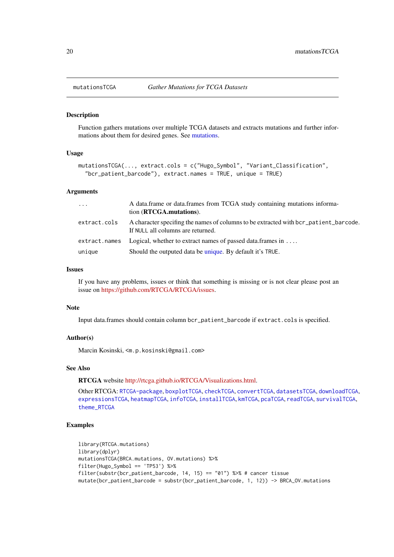<span id="page-19-1"></span><span id="page-19-0"></span>

#### Description

Function gathers mutations over multiple TCGA datasets and extracts mutations and further informations about them for desired genes. See [mutations.](#page-0-0)

#### Usage

```
mutationsTCGA(..., extract.cols = c("Hugo_Symbol", "Variant_Classification",
  "bcr_patient_barcode"), extract.names = TRUE, unique = TRUE)
```
## Arguments

| $\ddots$ .    | A data frame or data frames from TCGA study containing mutations informa-<br>tion (RTCGA, mutations).                     |
|---------------|---------------------------------------------------------------------------------------------------------------------------|
| extract.cols  | A character specifing the names of columns to be extracted with bcr_patient_barcode.<br>If NULL all columns are returned. |
| extract.names | Logical, whether to extract names of passed data. frames in $\dots$                                                       |
| unique        | Should the outputed data be unique. By default it's TRUE.                                                                 |

#### Issues

If you have any problems, issues or think that something is missing or is not clear please post an issue on [https://github.com/RTCGA/RTCGA/issues.](https://github.com/RTCGA/RTCGA/issues)

#### Note

Input data.frames should contain column bcr\_patient\_barcode if extract.cols is specified.

# Author(s)

Marcin Kosinski, <m.p.kosinski@gmail.com>

# See Also

RTCGA website [http://rtcga.github.io/RTCGA/Visualizations.html.](http://rtcga.github.io/RTCGA/Visualizations.html)

Other RTCGA: [RTCGA-package](#page-1-1), [boxplotTCGA](#page-2-1), [checkTCGA](#page-4-1), [convertTCGA](#page-6-1), [datasetsTCGA](#page-8-1), [downloadTCGA](#page-9-1), [expressionsTCGA](#page-11-1), [heatmapTCGA](#page-13-1), [infoTCGA](#page-15-1), [installTCGA](#page-16-1), [kmTCGA](#page-17-1), [pcaTCGA](#page-20-1), [readTCGA](#page-21-1), [survivalTCGA](#page-27-1), [theme\\_RTCGA](#page-29-1)

#### Examples

```
library(RTCGA.mutations)
library(dplyr)
mutationsTCGA(BRCA.mutations, OV.mutations) %>%
filter(Hugo_Symbol == 'TP53') %>%
filter(substr(bcr_patient_barcode, 14, 15) == "01") %>% # cancer tissue
mutate(bcr_patient_barcode = substr(bcr_patient_barcode, 1, 12)) -> BRCA_OV.mutations
```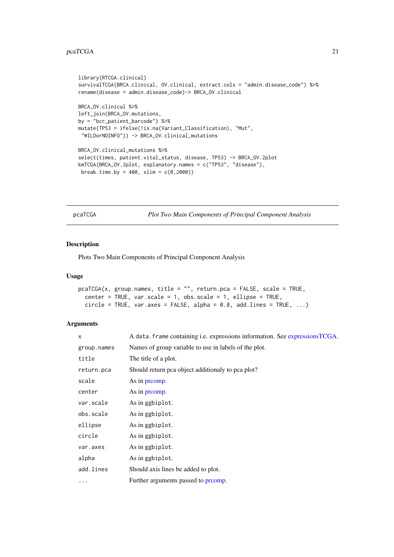```
library(RTCGA.clinical)
survivalTCGA(BRCA.clinical, OV.clinical, extract.cols = "admin.disease_code") %>%
rename(disease = admin.disease_code)-> BRCA_OV.clinical
BRCA_OV.clinical %>%
left_join(BRCA_OV.mutations,
by = "bcr_patient_barcode") %>%
mutate(TP53 = ifelse(!is.na(Variant_Classification), "Mut",
 "WILDorNOINFO")) -> BRCA_OV.clinical_mutations
BRCA_OV.clinical_mutations %>%
select(times, patient.vital_status, disease, TP53) -> BRCA_OV.2plot
kmTCGA(BRCA_OV.2plot, explanatory.names = c("TP53", "disease"),
break.time.by = 400, xlim = c(0, 2000))
```
<span id="page-20-1"></span>pcaTCGA *Plot Two Main Components of Principal Component Analysis*

# Description

Plots Two Main Components of Principal Component Analysis

#### Usage

```
pcaTCGA(x, group.names, title = "", return.pca = FALSE, scale = TRUE,
 center = TRUE, var.scale = 1, obs.scale = 1, ellipse = TRUE,
 circle = TRUE, var.axes = FALSE, alpha = 0.8, add.lines = TRUE, ...)
```

| X           | A data. frame containing i.e. expressions information. See expressionsTCGA. |  |
|-------------|-----------------------------------------------------------------------------|--|
| group.names | Names of group variable to use in labels of the plot.                       |  |
| title       | The title of a plot.                                                        |  |
| return.pca  | Should return pca object additionaly to pca plot?                           |  |
| scale       | As in promp.                                                                |  |
| center      | As in promp.                                                                |  |
| var.scale   | As in ggbiplot.                                                             |  |
| obs.scale   | As in ggbiplot.                                                             |  |
| ellipse     | As in ggbiplot.                                                             |  |
| circle      | As in ggbiplot.                                                             |  |
| var.axes    | As in ggbiplot.                                                             |  |
| alpha       | As in ggbiplot.                                                             |  |
| add.lines   | Should axis lines be added to plot.                                         |  |
| .           | Further arguments passed to promp.                                          |  |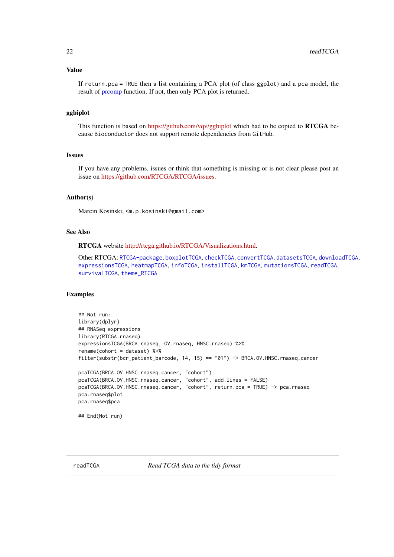#### <span id="page-21-0"></span>Value

If return.pca = TRUE then a list containing a PCA plot (of class ggplot) and a pca model, the result of [prcomp](#page-0-0) function. If not, then only PCA plot is returned.

# ggbiplot

This function is based on <https://github.com/vqv/ggbiplot> which had to be copied to RTCGA because Bioconductor does not support remote dependencies from GitHub.

# Issues

If you have any problems, issues or think that something is missing or is not clear please post an issue on [https://github.com/RTCGA/RTCGA/issues.](https://github.com/RTCGA/RTCGA/issues)

#### Author(s)

Marcin Kosinski, <m.p.kosinski@gmail.com>

#### See Also

RTCGA website [http://rtcga.github.io/RTCGA/Visualizations.html.](http://rtcga.github.io/RTCGA/Visualizations.html)

Other RTCGA: [RTCGA-package](#page-1-1), [boxplotTCGA](#page-2-1), [checkTCGA](#page-4-1), [convertTCGA](#page-6-1), [datasetsTCGA](#page-8-1), [downloadTCGA](#page-9-1), [expressionsTCGA](#page-11-1), [heatmapTCGA](#page-13-1), [infoTCGA](#page-15-1), [installTCGA](#page-16-1), [kmTCGA](#page-17-1), [mutationsTCGA](#page-19-1), [readTCGA](#page-21-1), [survivalTCGA](#page-27-1), [theme\\_RTCGA](#page-29-1)

#### Examples

```
## Not run:
library(dplyr)
## RNASeq expressions
library(RTCGA.rnaseq)
expressionsTCGA(BRCA.rnaseq, OV.rnaseq, HNSC.rnaseq) %>%
rename(cohort = dataset) %>%
filter(substr(bcr_patient_barcode, 14, 15) == "01") -> BRCA.OV.HNSC.rnaseq.cancer
pcaTCGA(BRCA.OV.HNSC.rnaseq.cancer, "cohort")
pcaTCGA(BRCA.OV.HNSC.rnaseq.cancer, "cohort", add.lines = FALSE)
pcaTCGA(BRCA.OV.HNSC.rnaseq.cancer, "cohort", return.pca = TRUE) -> pca.rnaseq
pca.rnaseq$plot
pca.rnaseq$pca
## End(Not run)
```
<span id="page-21-1"></span>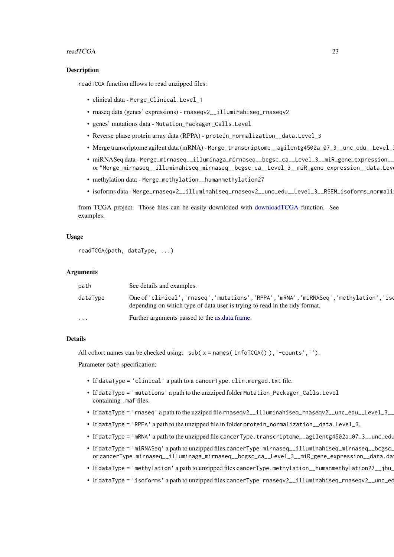#### <span id="page-22-0"></span>readTCGA 23

#### Description

readTCGA function allows to read unzipped files:

- clinical data Merge\_Clinical.Level\_1
- rnaseq data (genes' expressions) rnaseqv2\_\_illuminahiseq\_rnaseqv2
- genes' mutations data Mutation\_Packager\_Calls.Level
- Reverse phase protein array data (RPPA) protein\_normalization\_\_data.Level\_3
- Merge transcriptome agilent data (mRNA) Merge\_transcriptome\_\_agilentg4502a\_07\_3\_\_unc\_edu\_\_Level\_
- miRNASeq data Merge\_mirnaseq\_\_illuminaga\_mirnaseq\_\_bcgsc\_ca\_\_Level\_3\_\_miR\_gene\_expression\_\_ or "Merge\_mirnaseq\_\_illuminahiseq\_mirnaseq\_\_bcgsc\_ca\_\_Level\_3\_\_miR\_gene\_expression\_\_data.Lev
- methylation data Merge\_methylation\_\_humanmethylation27
- isoforms data Merge\_rnaseqv2\_\_illuminahiseq\_rnaseqv2\_\_unc\_edu\_\_Level\_3\_\_RSEM\_isoforms\_normali

from TCGA project. Those files can be easily downloded with [downloadTCGA](#page-9-1) function. See examples.

# Usage

```
readTCGA(path, dataType, ...)
```
#### Arguments

| path                    | See details and examples.                                                                                                                                               |
|-------------------------|-------------------------------------------------------------------------------------------------------------------------------------------------------------------------|
| dataType                | One of 'clinical', 'rnaseq', 'mutations', 'RPPA', 'mRNA', 'miRNASeq', 'methylation', 'isc<br>depending on which type of data user is trying to read in the tidy format. |
| $\cdot$ $\cdot$ $\cdot$ | Further arguments passed to the as.data.frame.                                                                                                                          |

#### Details

All cohort names can be checked using:  $sub(x = names(infoTCGA())$ , '-counts','').

Parameter path specification:

- If dataType = 'clinical' a path to a cancerType.clin.merged.txt file.
- If dataType = 'mutations' a path to the unzziped folder Mutation\_Packager\_Calls.Level containing .maf files.
- If dataType = 'rnaseq' a path to the uzziped file rnaseqv2\_\_illuminahiseq\_rnaseqv2\_\_unc\_edu\_\_Level\_3\_
- If dataType = 'RPPA' a path to the unzipped file in folder protein\_normalization\_\_data.Level\_3.
- If dataType = 'mRNA' a path to the unzipped file cancerType.transcriptome\_\_agilentg4502a\_07\_3\_\_unc\_edu
- If dataType = 'miRNASeq' a path to unzipped files cancerType.mirnaseq\_\_illuminahiseq\_mirnaseq\_\_bcgsc\_ or cancerType.mirnaseq\_\_illuminaga\_mirnaseq\_\_bcgsc\_ca\_\_Level\_3\_\_miR\_gene\_expression\_\_data.da
- If dataType = 'methylation' a path to unzipped files cancerType.methylation\_\_humanmethylation27\_\_jhu\_
- If dataType = 'isoforms' a path to unzipped files cancerType.rnaseqv2\_\_illuminahiseq\_rnaseqv2\_\_unc\_ed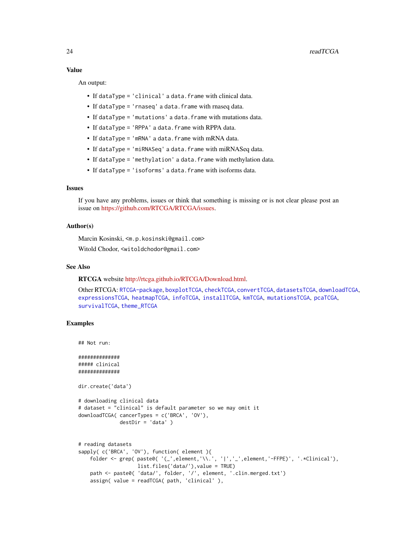#### Value

An output:

- If dataType = 'clinical' a data.frame with clinical data.
- If dataType = 'rnaseq' a data.frame with rnaseq data.
- If dataType = 'mutations' a data.frame with mutations data.
- If dataType = 'RPPA' a data. frame with RPPA data.
- If dataType = 'mRNA' a data. frame with mRNA data.
- If dataType = 'miRNASeq' a data.frame with miRNASeq data.
- If dataType = 'methylation' a data.frame with methylation data.
- If dataType = 'isoforms' a data.frame with isoforms data.

# Issues

If you have any problems, issues or think that something is missing or is not clear please post an issue on [https://github.com/RTCGA/RTCGA/issues.](https://github.com/RTCGA/RTCGA/issues)

#### Author(s)

Marcin Kosinski, <m.p.kosinski@gmail.com>

Witold Chodor, <witoldchodor@gmail.com>

# See Also

RTCGA website [http://rtcga.github.io/RTCGA/Download.html.](http://rtcga.github.io/RTCGA/Download.html)

Other RTCGA: [RTCGA-package](#page-1-1), [boxplotTCGA](#page-2-1), [checkTCGA](#page-4-1), [convertTCGA](#page-6-1), [datasetsTCGA](#page-8-1), [downloadTCGA](#page-9-1), [expressionsTCGA](#page-11-1), [heatmapTCGA](#page-13-1), [infoTCGA](#page-15-1), [installTCGA](#page-16-1), [kmTCGA](#page-17-1), [mutationsTCGA](#page-19-1), [pcaTCGA](#page-20-1), [survivalTCGA](#page-27-1), [theme\\_RTCGA](#page-29-1)

# Examples

## Not run:

############## ##### clinical ##############

dir.create('data')

```
# downloading clinical data
# dataset = "clinical" is default parameter so we may omit it
downloadTCGA( cancerTypes = c('BRCA', 'OV'),
              destDir = 'data' )
```

```
# reading datasets
sapply( c('BRCA', 'OV'), function( element ){
   folder <- grep( paste0( '(_',element,'\\.', '|','_',element,'-FFPE)', '.*Clinical'),
                   list.files('data/'),value = TRUE)
   path <- paste0( 'data/', folder, '/', element, '.clin.merged.txt')
   assign( value = readTCGA( path, 'clinical' ),
```
<span id="page-23-0"></span>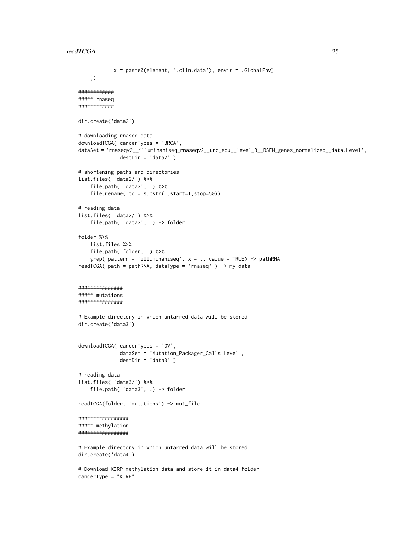#### readTCGA 25

```
x = paste0(element, '.clin.data'), envir = .GlobalEnv)
    })
############
##### rnaseq
############
dir.create('data2')
# downloading rnaseq data
downloadTCGA( cancerTypes = 'BRCA',
dataSet = 'rnaseqv2__illuminahiseq_rnaseqv2__unc_edu__Level_3__RSEM_genes_normalized__data.Level',
              destDir = 'data2' )
# shortening paths and directories
list.files( 'data2/') %>%
    file.path( 'data2', .) %>%
    file.rename( to = substr(.,start=1,stop=50))
# reading data
list.files( 'data2/') %>%
    file.path( 'data2', .) -> folder
folder %>%
   list.files %>%
    file.path( folder, .) %>%
    grep( pattern = 'illuminahiseq', x = ., value = TRUE) -> pathRNA
readTCGA( path = pathRNA, dataType = 'rnaseq' ) -> my_data
###############
##### mutations
###############
# Example directory in which untarred data will be stored
dir.create('data3')
downloadTCGA( cancerTypes = 'OV',
              dataSet = 'Mutation_Packager_Calls.Level',
              destDir = 'data3' )
# reading data
list.files( 'data3/') %>%
    file.path( 'data3', .) -> folder
readTCGA(folder, 'mutations') -> mut_file
#################
##### methylation
#################
# Example directory in which untarred data will be stored
dir.create('data4')
# Download KIRP methylation data and store it in data4 folder
cancerType = "KIRP"
```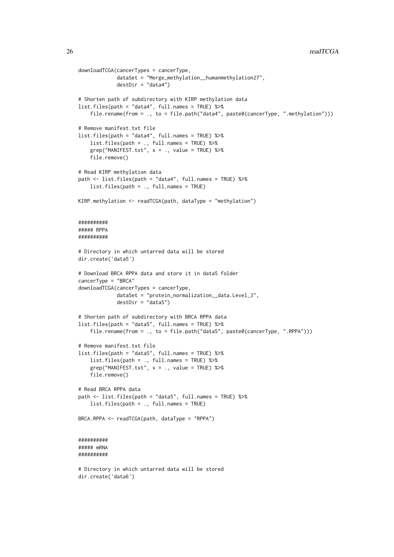```
downloadTCGA(cancerTypes = cancerType,
             dataSet = "Merge_methylation__humanmethylation27",
             destDir = "data4")# Shorten path of subdirectory with KIRP methylation data
list.files(path = "data4", full.names = TRUE) %>%
    file.rename(from = ., to = file.path("data4", paste0(cancerType, ".methylation")))
# Remove manifest.txt file
list.files(path = "data4", full.names = TRUE) %>%
    list.files(path = ., full.names = TRUE) %>%
    grep("MANIFEST.txt", x = ., value = TRUE) %file.remove()
# Read KIRP methylation data
path <- list.files(path = "data4", full.names = TRUE) %>%
    list.files(path = ., full.names = TRUE)
KIRP.methylation <- readTCGA(path, dataType = "methylation")
##########
##### RPPA
##########
# Directory in which untarred data will be stored
dir.create('data5')
# Download BRCA RPPA data and store it in data5 folder
cancerType = "BRCA"
downloadTCGA(cancerTypes = cancerType,
            dataSet = "protein_normalization__data.Level_3",
             destDir = "data5")
# Shorten path of subdirectory with BRCA RPPA data
list.files(path = "data5", full.names = TRUE) %>%
    file.rename(from = ., to = file.path("data5", paste0(cancerType, ".RPPA")))
# Remove manifest.txt file
list.files(path = "data5", full.names = TRUE) %>%
    list.files(path = ., full.names = TRUE) %>%
    grep("MANIFEST.txt", x = ., value = TRUE) %>%
    file.remove()
# Read BRCA RPPA data
path <- list.files(path = "data5", full.names = TRUE) %>%
    list.files(path = ., full.names = TRUE)
BRCA.RPPA <- readTCGA(path, dataType = "RPPA")
##########
##### mRNA
##########
# Directory in which untarred data will be stored
```
dir.create('data6')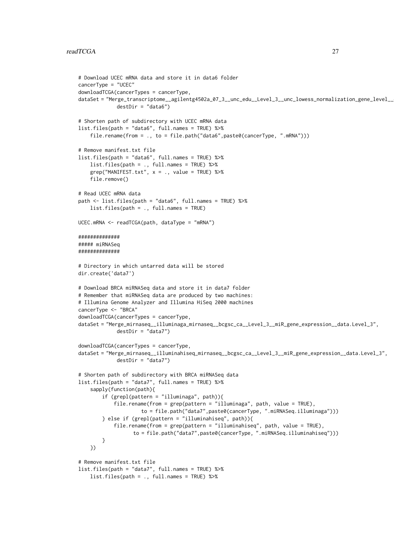```
# Download UCEC mRNA data and store it in data6 folder
cancerType = "UCEC"
downloadTCGA(cancerTypes = cancerType,
dataSet = "Merge_transcriptome__agilentg4502a_07_3__unc_edu__Level_3__unc_lowess_normalization_gene_level__
             destDir = "data6")# Shorten path of subdirectory with UCEC mRNA data
list.files(path = "data6", full.names = TRUE) %>%
    file.rename(from = \ldots to = file.path("data6".paste0(cancerType, ".mRNA")))
# Remove manifest.txt file
list.files(path = "data6", full.names = TRUE) %>%
    list.files(path = ., full.names = TRUE) %>%
    grep('MANIFEST.txt", x = ., value = TRUE) %file.remove()
# Read UCEC mRNA data
path <- list.files(path = "data6", full.names = TRUE) %>%
    list.files(path = ., full.names = TRUE)
UCEC.mRNA <- readTCGA(path, dataType = "mRNA")
##############
##### miRNASeq
##############
# Directory in which untarred data will be stored
dir.create('data7')
# Download BRCA miRNASeq data and store it in data7 folder
# Remember that miRNASeq data are produced by two machines:
# Illumina Genome Analyzer and Illumina HiSeq 2000 machines
cancerType <- "BRCA"
downloadTCGA(cancerTypes = cancerType,
dataSet = "Merge_mirnaseq__illuminaga_mirnaseq__bcgsc_ca__Level_3__miR_gene_expression__data.Level_3",
             destDir = "data7")
downloadTCGA(cancerTypes = cancerType,
dataSet = "Merge_mirnaseq__illuminahiseq_mirnaseq__bcgsc_ca__Level_3__miR_gene_expression__data.Level_3",
             destDir = "data7")
# Shorten path of subdirectory with BRCA miRNASeq data
list.files(path = "data7", full.names = TRUE) %>%
    sapply(function(path){
        if (grepl(pattern = "illuminaga", path)){
            file.rename(from = grep(pattern = "illuminaga", path, value = TRUE),
                     to = file.path("data7",paste0(cancerType, ".miRNASeq.illuminaga")))
        } else if (grepl(pattern = "illuminahiseq", path)){
            file.rename(from = grep(pattern = "illuminahiseq", path, value = TRUE),
                  to = file.path("data7",paste0(cancerType, ".miRNASeq.illuminahiseq")))
        }
    })
# Remove manifest.txt file
list.files(path = "data7", full.names = TRUE) %>%
    list.files(path = ., full.names = TRUE) %>%
```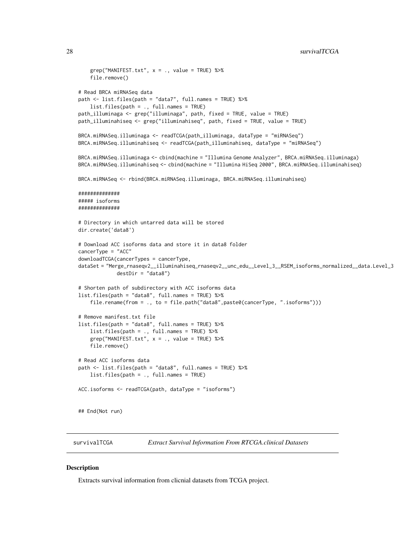```
grep("MANIFEST.txt", x = ., value = TRUE) %>%
    file.remove()
# Read BRCA miRNASeq data
path <- list.files(path = "data7", full.names = TRUE) %>%
    list.files(path = ., full.names = TRUE)
path_illuminaga <- grep("illuminaga", path, fixed = TRUE, value = TRUE)
path_illuminahiseq <- grep("illuminahiseq", path, fixed = TRUE, value = TRUE)
BRCA.miRNASeq.illuminaga <- readTCGA(path_illuminaga, dataType = "miRNASeq")
BRCA.miRNASeq.illuminahiseq <- readTCGA(path_illuminahiseq, dataType = "miRNASeq")
BRCA.miRNASeq.illuminaga <- cbind(machine = "Illumina Genome Analyzer", BRCA.miRNASeq.illuminaga)
BRCA.miRNASeq.illuminahiseq <- cbind(machine = "Illumina HiSeq 2000", BRCA.miRNASeq.illuminahiseq)
BRCA.miRNASeq <- rbind(BRCA.miRNASeq.illuminaga, BRCA.miRNASeq.illuminahiseq)
##############
##### isoforms
##############
# Directory in which untarred data will be stored
dir.create('data8')
# Download ACC isoforms data and store it in data8 folder
cancerType = "ACC"
downloadTCGA(cancerTypes = cancerType,
dataSet = "Merge_rnaseqv2__illuminahiseq_rnaseqv2__unc_edu__Level_3__RSEM_isoforms_normalized__data.Level_3",
             destDir = "data8")
# Shorten path of subdirectory with ACC isoforms data
list.files(path = "data8", full.names = TRUE) %>%
    file.rename(from = ., to = file.path("data8",paste0(cancerType, ".isoforms")))
# Remove manifest.txt file
list.files(path = "data8", full.names = TRUE) %>%
    list.files(path = ., full.names = TRUE) %>%
    grep("MANIFEST.txt", x = ., value = TRUE) %file.remove()
# Read ACC isoforms data
path <- list.files(path = "data8", full.names = TRUE) %>%
    list.files(path = ., full.names = TRUE)
ACC.isoforms <- readTCGA(path, dataType = "isoforms")
## End(Not run)
```
<span id="page-27-1"></span>survivalTCGA *Extract Survival Information From RTCGA.clinical Datasets*

#### Description

Extracts survival information from clicnial datasets from TCGA project.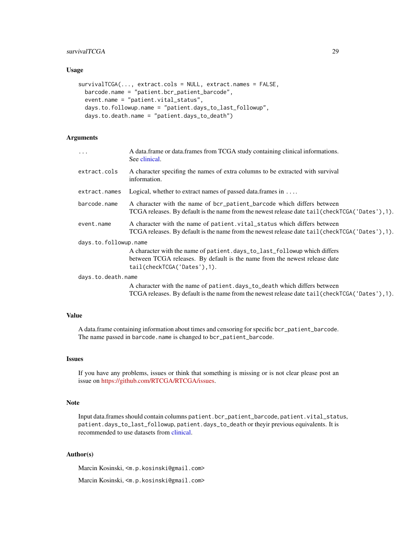#### <span id="page-28-0"></span>survivalTCGA 29

#### Usage

```
survivalTCGA(..., extract.cols = NULL, extract.names = FALSE,
 barcode.name = "patient.bcr_patient_barcode",
 event.name = "patient.vital_status",
 days.to.followup.name = "patient.days_to_last_followup",
 days.to.death.name = "patient.days_to_death")
```
# Arguments

| $\ddotsc$             | A data.frame or data.frames from TCGA study containing clinical informations.<br>See clinical.                                                                              |
|-----------------------|-----------------------------------------------------------------------------------------------------------------------------------------------------------------------------|
| extract.cols          | A character specifing the names of extra columns to be extracted with survival<br>information.                                                                              |
| extract.names         | Logical, whether to extract names of passed data. frames in $\dots$                                                                                                         |
| barcode.name          | A character with the name of bcr_patient_barcode which differs between<br>TCGA releases. By default is the name from the newest release date tail (checkTCGA ('Dates'), 1). |
| event.name            | A character with the name of patient vital_status which differs between<br>TCGA releases. By default is the name from the newest release date tail (checkTCGA('Dates'), 1). |
| days.to.followup.name |                                                                                                                                                                             |
|                       | A character with the name of patient.days_to_last_followup which differs                                                                                                    |
|                       | between TCGA releases. By default is the name from the newest release date<br>tail(checkTCGA('Dates'),1).                                                                   |
| days.to.death.name    |                                                                                                                                                                             |
|                       | A character with the name of patient.days_to_death which differs between                                                                                                    |

TCGA releases. By default is the name from the newest release date tail(checkTCGA('Dates'),1).

#### Value

A data.frame containing information about times and censoring for specific bcr\_patient\_barcode. The name passed in barcode.name is changed to bcr\_patient\_barcode.

# Issues

If you have any problems, issues or think that something is missing or is not clear please post an issue on [https://github.com/RTCGA/RTCGA/issues.](https://github.com/RTCGA/RTCGA/issues)

#### Note

Input data.frames should contain columns patient.bcr\_patient\_barcode, patient.vital\_status, patient.days\_to\_last\_followup, patient.days\_to\_death or theyir previous equivalents. It is recommended to use datasets from [clinical.](#page-0-0)

#### Author(s)

Marcin Kosinski, <m.p.kosinski@gmail.com>

Marcin Kosinski, <m.p.kosinski@gmail.com>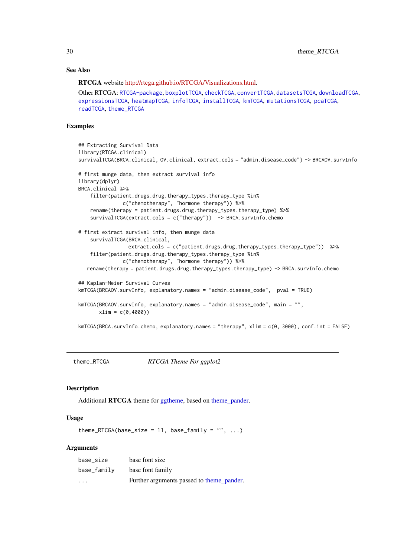# <span id="page-29-0"></span>See Also

RTCGA website [http://rtcga.github.io/RTCGA/Visualizations.html.](http://rtcga.github.io/RTCGA/Visualizations.html)

Other RTCGA: [RTCGA-package](#page-1-1), [boxplotTCGA](#page-2-1), [checkTCGA](#page-4-1), [convertTCGA](#page-6-1), [datasetsTCGA](#page-8-1), [downloadTCGA](#page-9-1), [expressionsTCGA](#page-11-1), [heatmapTCGA](#page-13-1), [infoTCGA](#page-15-1), [installTCGA](#page-16-1), [kmTCGA](#page-17-1), [mutationsTCGA](#page-19-1), [pcaTCGA](#page-20-1), [readTCGA](#page-21-1), [theme\\_RTCGA](#page-29-1)

#### Examples

```
## Extracting Survival Data
library(RTCGA.clinical)
survivalTCGA(BRCA.clinical, OV.clinical, extract.cols = "admin.disease_code") -> BRCAOV.survInfo
# first munge data, then extract survival info
library(dplyr)
BRCA.clinical %>%
    filter(patient.drugs.drug.therapy_types.therapy_type %in%
               c("chemotherapy", "hormone therapy")) %>%
    rename(therapy = patient.drugs.drug.therapy_types.therapy_type) %>%
    survivalTCGA(extract.cols = c("therapy")) -> BRCA.survInfo.chemo
# first extract survival info, then munge data
    survivalTCGA(BRCA.clinical,
                 extract.cols = c("patient.drugs.drug.therapy_types.therapy_type")) %>%
    filter(patient.drugs.drug.therapy_types.therapy_type %in%
               c("chemotherapy", "hormone therapy")) %>%
   rename(therapy = patient.drugs.drug.therapy_types.therapy_type) -> BRCA.survInfo.chemo
## Kaplan-Meier Survival Curves
kmTCGA(BRCAOV.survInfo, explanatory.names = "admin.disease_code", pval = TRUE)
kmTCGA(BRCAOV.survInfo, explanatory.names = "admin.disease_code", main = "",
       xlim = c(0,4000)kmTCGA(BRCA.survInfo.chemo, explanatory.names = "therapy", xlim = c(0, 3000), conf.int = FALSE)
```
<span id="page-29-1"></span>

theme\_RTCGA *RTCGA Theme For ggplot2*

# Description

Additional RTCGA theme for [ggtheme,](#page-0-0) based on [theme\\_pander.](#page-0-0)

# Usage

theme\_RTCGA(base\_size = 11, base\_family =  $"$ , ...)

| base size               | base font size                            |
|-------------------------|-------------------------------------------|
| base_family             | base font family                          |
| $\cdot$ $\cdot$ $\cdot$ | Further arguments passed to theme pander. |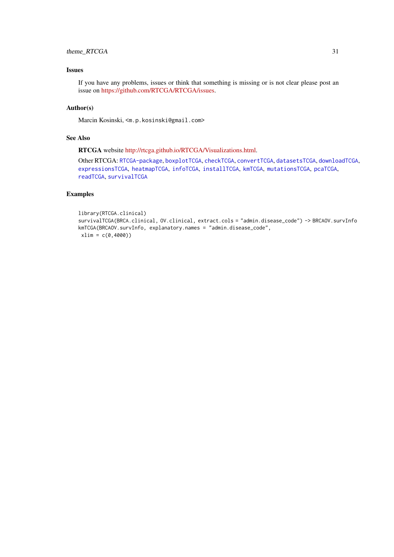#### <span id="page-30-0"></span>theme\_RTCGA 31

# Issues

If you have any problems, issues or think that something is missing or is not clear please post an issue on [https://github.com/RTCGA/RTCGA/issues.](https://github.com/RTCGA/RTCGA/issues)

# Author(s)

Marcin Kosinski, <m.p.kosinski@gmail.com>

# See Also

RTCGA website [http://rtcga.github.io/RTCGA/Visualizations.html.](http://rtcga.github.io/RTCGA/Visualizations.html)

Other RTCGA: [RTCGA-package](#page-1-1), [boxplotTCGA](#page-2-1), [checkTCGA](#page-4-1), [convertTCGA](#page-6-1), [datasetsTCGA](#page-8-1), [downloadTCGA](#page-9-1), [expressionsTCGA](#page-11-1), [heatmapTCGA](#page-13-1), [infoTCGA](#page-15-1), [installTCGA](#page-16-1), [kmTCGA](#page-17-1), [mutationsTCGA](#page-19-1), [pcaTCGA](#page-20-1), [readTCGA](#page-21-1), [survivalTCGA](#page-27-1)

# Examples

```
library(RTCGA.clinical)
survivalTCGA(BRCA.clinical, OV.clinical, extract.cols = "admin.disease_code") -> BRCAOV.survInfo
kmTCGA(BRCAOV.survInfo, explanatory.names = "admin.disease_code",
xlim = c(0,4000))
```